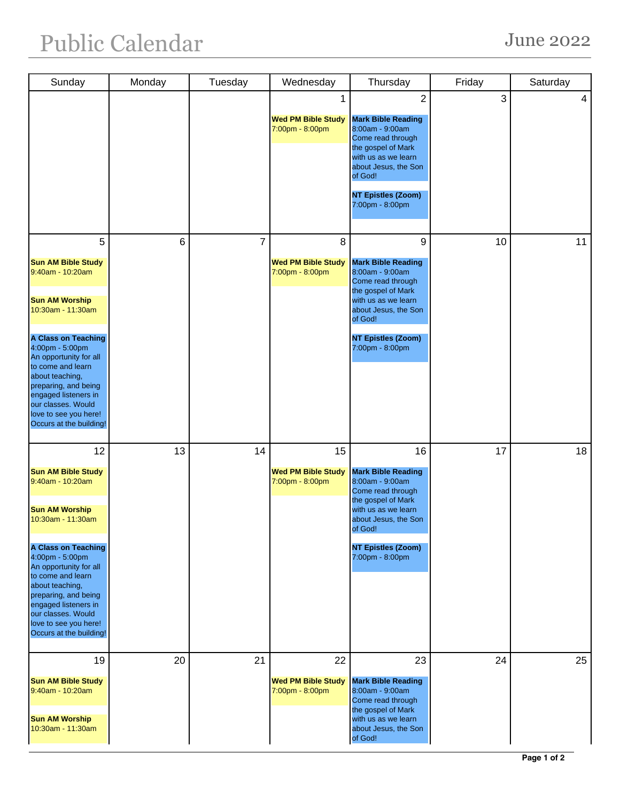| Sunday                                                                                                                                                                                                                                                                                                                                         | Monday | Tuesday        | Wednesday                                          | Thursday                                                                                                                                                                                                            | Friday | Saturday |
|------------------------------------------------------------------------------------------------------------------------------------------------------------------------------------------------------------------------------------------------------------------------------------------------------------------------------------------------|--------|----------------|----------------------------------------------------|---------------------------------------------------------------------------------------------------------------------------------------------------------------------------------------------------------------------|--------|----------|
|                                                                                                                                                                                                                                                                                                                                                |        |                | 1<br><b>Wed PM Bible Study</b><br>7:00pm - 8:00pm  | $\overline{2}$<br><b>Mark Bible Reading</b><br>8:00am - 9:00am<br>Come read through<br>the gospel of Mark<br>with us as we learn<br>about Jesus, the Son<br>of God!<br><b>NT Epistles (Zoom)</b><br>7:00pm - 8:00pm | 3      | 4        |
| 5<br><b>Sun AM Bible Study</b><br>9:40am - 10:20am<br><b>Sun AM Worship</b><br>10:30am - 11:30am<br><b>A Class on Teaching</b><br>4:00pm - 5:00pm<br>An opportunity for all<br>to come and learn<br>about teaching,<br>preparing, and being<br>engaged listeners in<br>our classes. Would<br>love to see you here!<br>Occurs at the building!  | 6      | $\overline{7}$ | 8<br><b>Wed PM Bible Study</b><br>7:00pm - 8:00pm  | 9<br><b>Mark Bible Reading</b><br>8:00am - 9:00am<br>Come read through<br>the gospel of Mark<br>with us as we learn<br>about Jesus, the Son<br>of God!<br><b>NT Epistles (Zoom)</b><br>7:00pm - 8:00pm              | 10     | 11       |
| 12<br><b>Sun AM Bible Study</b><br>9:40am - 10:20am<br><b>Sun AM Worship</b><br>10:30am - 11:30am<br><b>A Class on Teaching</b><br>4:00pm - 5:00pm<br>An opportunity for all<br>to come and learn<br>about teaching,<br>preparing, and being<br>engaged listeners in<br>our classes. Would<br>love to see you here!<br>Occurs at the building! | 13     | 14             | 15<br><b>Wed PM Bible Study</b><br>7:00pm - 8:00pm | 16<br><b>Mark Bible Reading</b><br>8:00am - 9:00am<br>Come read through<br>the gospel of Mark<br>with us as we learn<br>about Jesus, the Son<br>of God!<br><b>NT Epistles (Zoom)</b><br>7:00pm - 8:00pm             | 17     | 18       |
| 19<br><b>Sun AM Bible Study</b><br>9:40am - 10:20am<br><b>Sun AM Worship</b><br>10:30am - 11:30am                                                                                                                                                                                                                                              | 20     | 21             | 22<br><b>Wed PM Bible Study</b><br>7:00pm - 8:00pm | 23<br><b>Mark Bible Reading</b><br>8:00am - 9:00am<br>Come read through<br>the gospel of Mark<br>with us as we learn<br>about Jesus, the Son<br>of God!                                                             | 24     | 25       |